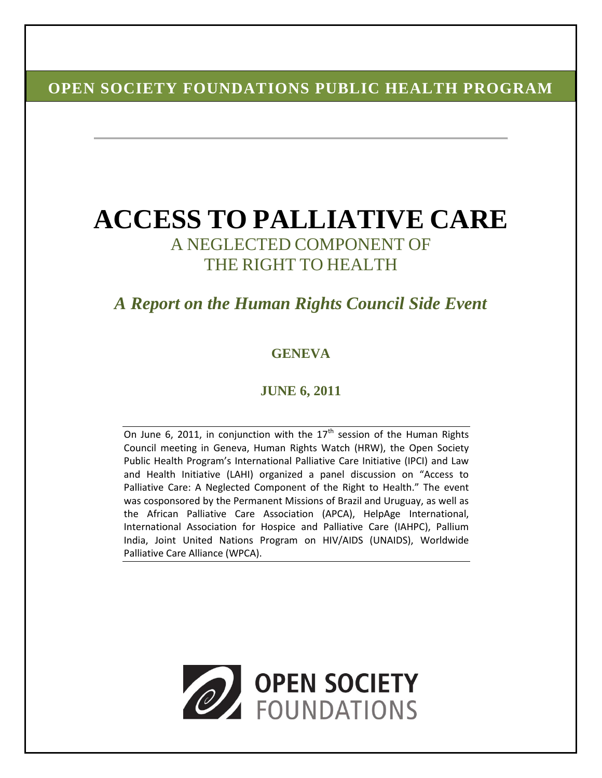# **OPEN SOCIETY FOUNDATIONS PUBLIC HEALTH PROGRAM**

# **ACCESS TO PALLIATIVE CARE** A NEGLECTED COMPONENT OF THE RIGHT TO HEALTH

# *A Report on the Human Rights Council Side Event*

## **GENEVA**

## **JUNE 6, 2011**

On June 6, 2011, in conjunction with the  $17<sup>th</sup>$  session of the Human Rights Council meeting in Geneva, Human Rights Watch (HRW), the Open Society Public Health Program's International Palliative Care Initiative (IPCI) and Law and Health Initiative (LAHI) organized a panel discussion on "Access to Palliative Care: A Neglected Component of the Right to Health." The event was cosponsored by the Permanent Missions of Brazil and Uruguay, as well as the African Palliative Care Association (APCA), HelpAge International, International Association for Hospice and Palliative Care (IAHPC), Pallium India, Joint United Nations Program on HIV/AIDS (UNAIDS), Worldwide Palliative Care Alliance (WPCA).

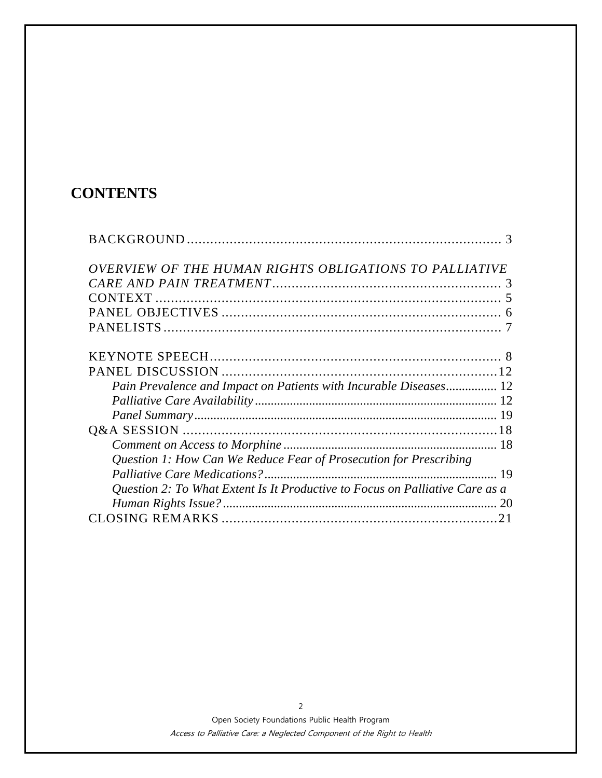# **CONTENTS**

| OVERVIEW OF THE HUMAN RIGHTS OBLIGATIONS TO PALLIATIVE                       |    |
|------------------------------------------------------------------------------|----|
|                                                                              |    |
|                                                                              |    |
|                                                                              |    |
|                                                                              |    |
|                                                                              |    |
|                                                                              |    |
| Pain Prevalence and Impact on Patients with Incurable Diseases 12            |    |
|                                                                              |    |
|                                                                              |    |
|                                                                              |    |
|                                                                              |    |
| Question 1: How Can We Reduce Fear of Prosecution for Prescribing            |    |
|                                                                              |    |
| Question 2: To What Extent Is It Productive to Focus on Palliative Care as a |    |
|                                                                              | 20 |
|                                                                              |    |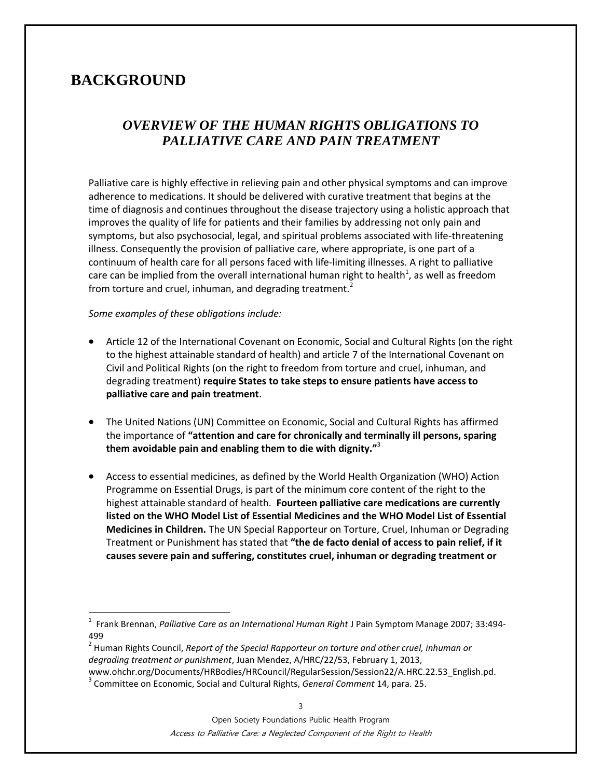# **BACKGROUND**

 $\overline{a}$ 

# *OVERVIEW OF THE HUMAN RIGHTS OBLIGATIONS TO PALLIATIVE CARE AND PAIN TREATMENT*

Palliative care is highly effective in relieving pain and other physical symptoms and can improve adherence to medications. It should be delivered with curative treatment that begins at the time of diagnosis and continues throughout the disease trajectory using a holistic approach that improves the quality of life for patients and their families by addressing not only pain and symptoms, but also psychosocial, legal, and spiritual problems associated with life-threatening illness. Consequently the provision of palliative care, where appropriate, is one part of a continuum of health care for all persons faced with life-limiting illnesses. A right to palliative care can be implied from the overall international human right to health<sup>1</sup>, as well as freedom from torture and cruel, inhuman, and degrading treatment.<sup>2</sup>

### *Some examples of these obligations include:*

- Article 12 of the International Covenant on Economic, Social and Cultural Rights (on the right to the highest attainable standard of health) and article 7 of the International Covenant on Civil and Political Rights (on the right to freedom from torture and cruel, inhuman, and degrading treatment) **require States to take steps to ensure patients have access to palliative care and pain treatment**.
- The United Nations (UN) Committee on Economic, Social and Cultural Rights has affirmed the importance of **"attention and care for chronically and terminally ill persons, sparing them avoidable pain and enabling them to die with dignity."**<sup>3</sup>
- Access to essential medicines, as defined by the World Health Organization (WHO) Action Programme on Essential Drugs, is part of the minimum core content of the right to the highest attainable standard of health. **Fourteen palliative care medications are currently listed on the WHO Model List of Essential Medicines and the WHO Model List of Essential Medicines in Children.** The UN Special Rapporteur on Torture, Cruel, Inhuman or Degrading Treatment or Punishment has stated that **"the de facto denial of access to pain relief, if it causes severe pain and suffering, constitutes cruel, inhuman or degrading treatment or**

<sup>1</sup> Frank Brennan, *Palliative Care as an International Human Right* J Pain Symptom Manage 2007; 33:494- 499

<sup>2</sup> Human Rights Council, *Report of the Special Rapporteur on torture and other cruel, inhuman or degrading treatment or punishment*, Juan Mendez, A/HRC/22/53, February 1, 2013, www.ohchr.org/Documents/HRBodies/HRCouncil/RegularSession/Session22/A.HRC.22.53\_English.pd.

<sup>3</sup> Committee on Economic, Social and Cultural Rights, *General Comment* 14, para. 25.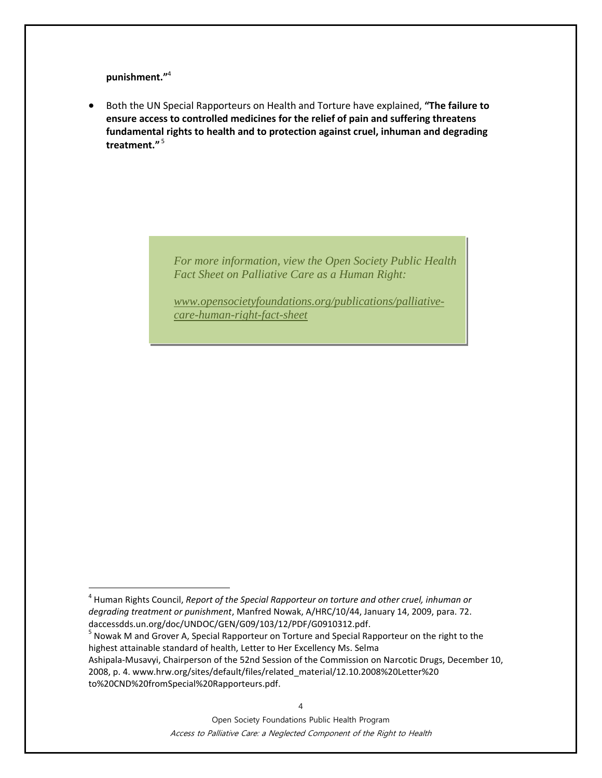**punishment."**<sup>4</sup>

 $\overline{a}$ 

 Both the UN Special Rapporteurs on Health and Torture have explained, **"The failure to ensure access to controlled medicines for the relief of pain and suffering threatens fundamental rights to health and to protection against cruel, inhuman and degrading treatment."** <sup>5</sup>

> *For more information, view the Open Society Public Health Fact Sheet on Palliative Care as a Human Right:*

*[www.opensocietyfoundations.org/publications/palliative](http://www.opensocietyfoundations.org/publications/palliative-care-human-right-fact-sheet)[care-human-right-fact-sheet](http://www.opensocietyfoundations.org/publications/palliative-care-human-right-fact-sheet)*

<sup>4</sup> Human Rights Council, *Report of the Special Rapporteur on torture and other cruel, inhuman or degrading treatment or punishment*, Manfred Nowak, A/HRC/10/44, January 14, 2009, para. 72. daccessdds.un.org/doc/UNDOC/GEN/G09/103/12/PDF/G0910312.pdf.

<sup>&</sup>lt;sup>5</sup> Nowak M and Grover A, Special Rapporteur on Torture and Special Rapporteur on the right to the highest attainable standard of health, Letter to Her Excellency Ms. Selma Ashipala-Musavyi, Chairperson of the 52nd Session of the Commission on Narcotic Drugs, December 10,

<sup>2008,</sup> p. 4. www.hrw.org/sites/default/files/related\_material/12.10.2008%20Letter%20 to%20CND%20fromSpecial%20Rapporteurs.pdf.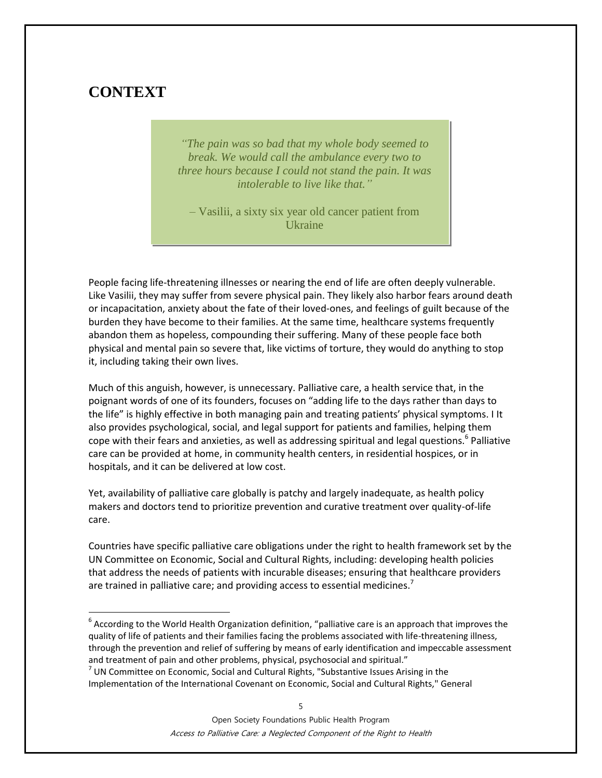# **CONTEXT**

 $\overline{a}$ 

*"The pain was so bad that my whole body seemed to break. We would call the ambulance every two to three hours because I could not stand the pain. It was intolerable to live like that."*

– Vasilii, a sixty six year old cancer patient from Ukraine

People facing life-threatening illnesses or nearing the end of life are often deeply vulnerable. Like Vasilii, they may suffer from severe physical pain. They likely also harbor fears around death or incapacitation, anxiety about the fate of their loved-ones, and feelings of guilt because of the burden they have become to their families. At the same time, healthcare systems frequently abandon them as hopeless, compounding their suffering. Many of these people face both physical and mental pain so severe that, like victims of torture, they would do anything to stop it, including taking their own lives.

Much of this anguish, however, is unnecessary. Palliative care, a health service that, in the poignant words of one of its founders, focuses on "adding life to the days rather than days to the life" is highly effective in both managing pain and treating patients' physical symptoms. I It also provides psychological, social, and legal support for patients and families, helping them cope with their fears and anxieties, as well as addressing spiritual and legal questions.<sup>6</sup> Palliative care can be provided at home, in community health centers, in residential hospices, or in hospitals, and it can be delivered at low cost.

Yet, availability of palliative care globally is patchy and largely inadequate, as health policy makers and doctors tend to prioritize prevention and curative treatment over quality-of-life care.

Countries have specific palliative care obligations under the right to health framework set by the UN Committee on Economic, Social and Cultural Rights, including: developing health policies that address the needs of patients with incurable diseases; ensuring that healthcare providers are trained in palliative care; and providing access to essential medicines. $'$ 

 $^6$  According to the World Health Organization definition, "palliative care is an approach that improves the quality of life of patients and their families facing the problems associated with life-threatening illness, through the prevention and relief of suffering by means of early identification and impeccable assessment and treatment of pain and other problems, physical, psychosocial and spiritual."

 $<sup>7</sup>$  UN Committee on Economic, Social and Cultural Rights, "Substantive Issues Arising in the</sup> Implementation of the International Covenant on Economic, Social and Cultural Rights," General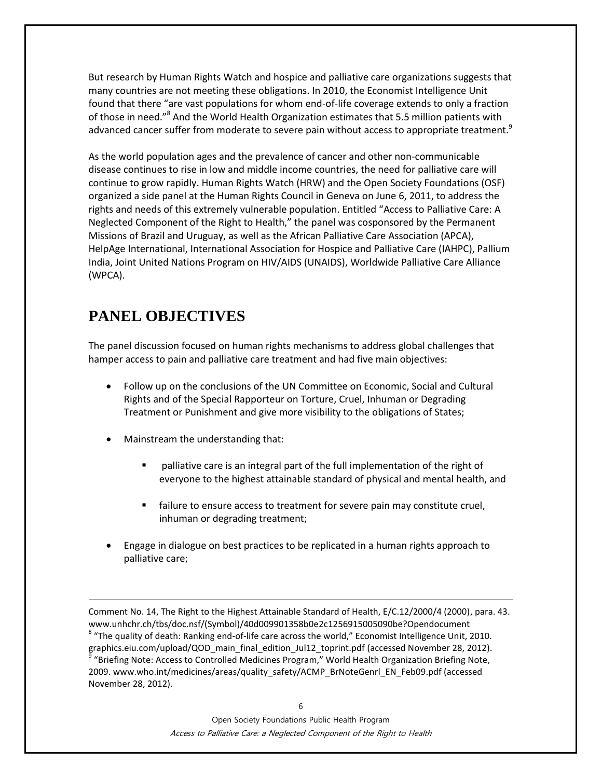But research by Human Rights Watch and hospice and palliative care organizations suggests that many countries are not meeting these obligations. In 2010, the Economist Intelligence Unit found that there "are vast populations for whom end-of-life coverage extends to only a fraction of those in need."<sup>8</sup> And the World Health Organization estimates that 5.5 million patients with advanced cancer suffer from moderate to severe pain without access to appropriate treatment.<sup>9</sup>

As the world population ages and the prevalence of cancer and other non-communicable disease continues to rise in low and middle income countries, the need for palliative care will continue to grow rapidly. Human Rights Watch (HRW) and the Open Society Foundations (OSF) organized a side panel at the Human Rights Council in Geneva on June 6, 2011, to address the rights and needs of this extremely vulnerable population. Entitled "Access to Palliative Care: A Neglected Component of the Right to Health," the panel was cosponsored by the Permanent Missions of Brazil and Uruguay, as well as the African Palliative Care Association (APCA), HelpAge International, International Association for Hospice and Palliative Care (IAHPC), Pallium India, Joint United Nations Program on HIV/AIDS (UNAIDS), Worldwide Palliative Care Alliance (WPCA).

# **PANEL OBJECTIVES**

 $\overline{a}$ 

November 28, 2012).

The panel discussion focused on human rights mechanisms to address global challenges that hamper access to pain and palliative care treatment and had five main objectives:

- Follow up on the conclusions of the UN Committee on Economic, Social and Cultural Rights and of the Special Rapporteur on Torture, Cruel, Inhuman or Degrading Treatment or Punishment and give more visibility to the obligations of States;
- Mainstream the understanding that:
	- palliative care is an integral part of the full implementation of the right of everyone to the highest attainable standard of physical and mental health, and
	- **Failure to ensure access to treatment for severe pain may constitute cruel,** inhuman or degrading treatment;
- Engage in dialogue on best practices to be replicated in a human rights approach to palliative care;

Comment No. 14, The Right to the Highest Attainable Standard of Health, E/C.12/2000/4 (2000), para. 43. www.unhchr.ch/tbs/doc.nsf/(Symbol)/40d009901358b0e2c1256915005090be?Opendocument  $^8$  "The quality of death: Ranking end-of-life care across the world," Economist Intelligence Unit, 2010. graphics.eiu.com/upload/QOD\_main\_final\_edition\_Jul12\_toprint.pdf (accessed November 28, 2012). 9 "Briefing Note: Access to Controlled Medicines Program," World Health Organization Briefing Note, 2009. www.who.int/medicines/areas/quality\_safety/ACMP\_BrNoteGenrl\_EN\_Feb09.pdf (accessed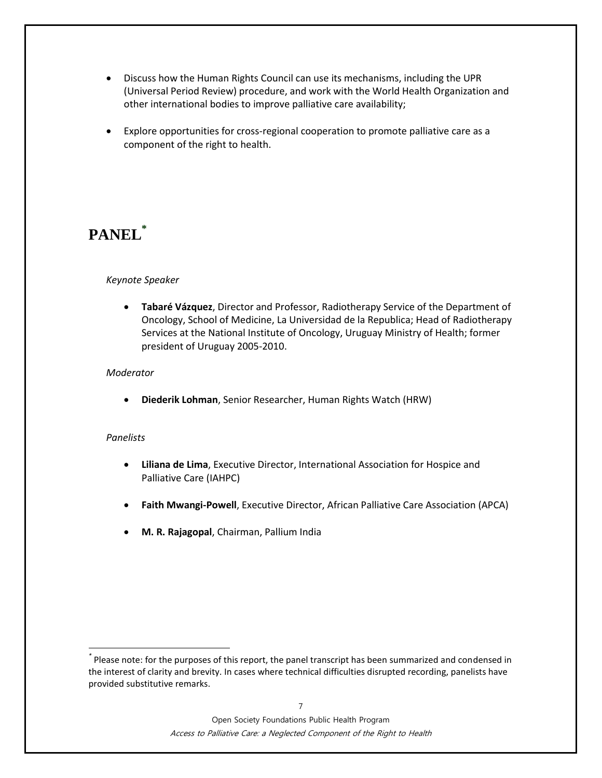- Discuss how the Human Rights Council can use its mechanisms, including the UPR (Universal Period Review) procedure, and work with the World Health Organization and other international bodies to improve palliative care availability;
- Explore opportunities for cross-regional cooperation to promote palliative care as a component of the right to health.

# **PANEL\***

#### *Keynote Speaker*

 **Tabaré Vázquez**, Director and Professor, Radiotherapy Service of the Department of Oncology, School of Medicine, La Universidad de la Republica; Head of Radiotherapy Services at the National Institute of Oncology, Uruguay Ministry of Health; former president of Uruguay 2005-2010.

#### *Moderator*

**Diederik Lohman**, Senior Researcher, Human Rights Watch (HRW)

#### *Panelists*

 $\overline{a}$ 

- **Liliana de Lima**, Executive Director, International Association for Hospice and Palliative Care (IAHPC)
- **Faith Mwangi-Powell**, Executive Director, African Palliative Care Association (APCA)
- **M. R. Rajagopal**, Chairman, Pallium India

*<sup>\*</sup>* Please note: for the purposes of this report, the panel transcript has been summarized and condensed in the interest of clarity and brevity. In cases where technical difficulties disrupted recording, panelists have provided substitutive remarks.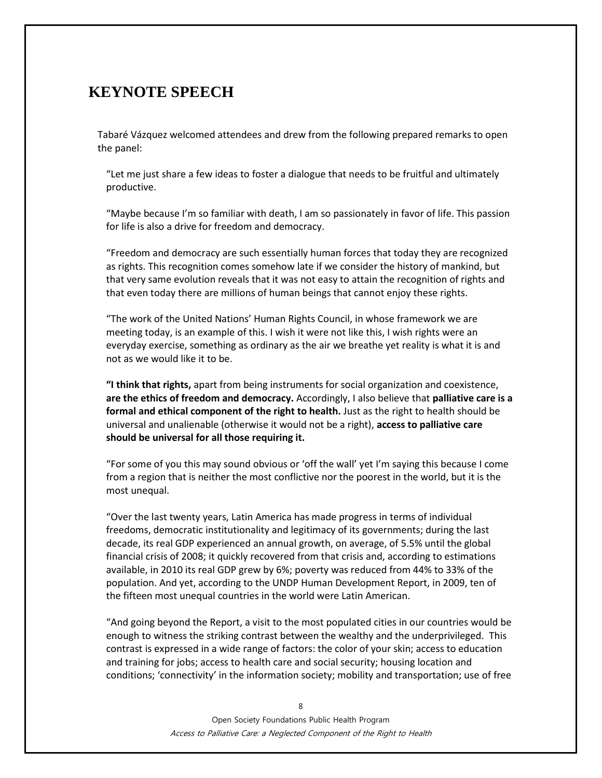# **KEYNOTE SPEECH**

Tabaré Vázquez welcomed attendees and drew from the following prepared remarks to open the panel:

"Let me just share a few ideas to foster a dialogue that needs to be fruitful and ultimately productive.

"Maybe because I'm so familiar with death, I am so passionately in favor of life. This passion for life is also a drive for freedom and democracy.

"Freedom and democracy are such essentially human forces that today they are recognized as rights. This recognition comes somehow late if we consider the history of mankind, but that very same evolution reveals that it was not easy to attain the recognition of rights and that even today there are millions of human beings that cannot enjoy these rights.

"The work of the United Nations' Human Rights Council, in whose framework we are meeting today, is an example of this. I wish it were not like this, I wish rights were an everyday exercise, something as ordinary as the air we breathe yet reality is what it is and not as we would like it to be.

**"I think that rights,** apart from being instruments for social organization and coexistence, **are the ethics of freedom and democracy.** Accordingly, I also believe that **palliative care is a formal and ethical component of the right to health.** Just as the right to health should be universal and unalienable (otherwise it would not be a right), **access to palliative care should be universal for all those requiring it.**

"For some of you this may sound obvious or 'off the wall' yet I'm saying this because I come from a region that is neither the most conflictive nor the poorest in the world, but it is the most unequal.

"Over the last twenty years, Latin America has made progress in terms of individual freedoms, democratic institutionality and legitimacy of its governments; during the last decade, its real GDP experienced an annual growth, on average, of 5.5% until the global financial crisis of 2008; it quickly recovered from that crisis and, according to estimations available, in 2010 its real GDP grew by 6%; poverty was reduced from 44% to 33% of the population. And yet, according to the UNDP Human Development Report, in 2009, ten of the fifteen most unequal countries in the world were Latin American.

"And going beyond the Report, a visit to the most populated cities in our countries would be enough to witness the striking contrast between the wealthy and the underprivileged. This contrast is expressed in a wide range of factors: the color of your skin; access to education and training for jobs; access to health care and social security; housing location and conditions; 'connectivity' in the information society; mobility and transportation; use of free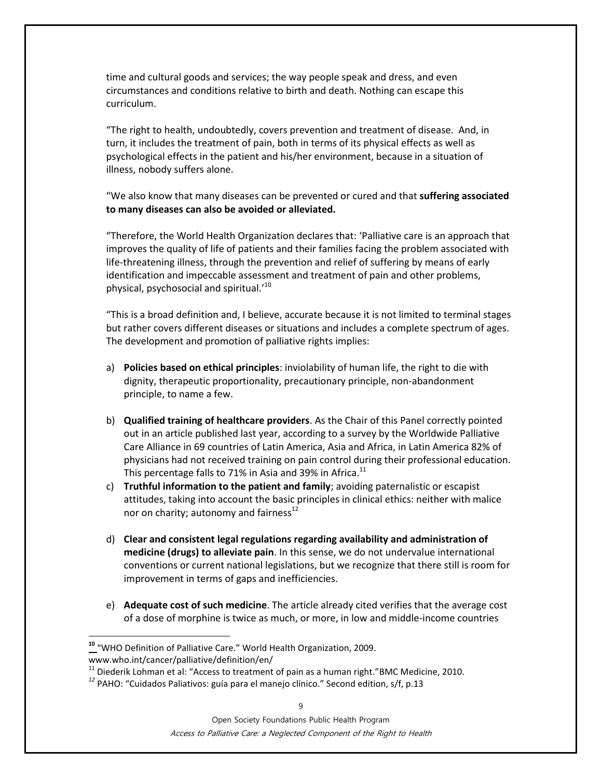time and cultural goods and services; the way people speak and dress, and even circumstances and conditions relative to birth and death. Nothing can escape this curriculum.

"The right to health, undoubtedly, covers prevention and treatment of disease. And, in turn, it includes the treatment of pain, both in terms of its physical effects as well as psychological effects in the patient and his/her environment, because in a situation of illness, nobody suffers alone.

"We also know that many diseases can be prevented or cured and that **suffering associated to many diseases can also be avoided or alleviated.**

"Therefore, the World Health Organization declares that: 'Palliative care is an approach that improves the quality of life of patients and their families facing the problem associated with life-threatening illness, through the prevention and relief of suffering by means of early identification and impeccable assessment and treatment of pain and other problems, physical, psychosocial and spiritual.'<sup>10</sup>

"This is a broad definition and, I believe, accurate because it is not limited to terminal stages but rather covers different diseases or situations and includes a complete spectrum of ages. The development and promotion of palliative rights implies:

- a) **Policies based on ethical principles**: inviolability of human life, the right to die with dignity, therapeutic proportionality, precautionary principle, non-abandonment principle, to name a few.
- b) **Qualified training of healthcare providers**. As the Chair of this Panel correctly pointed out in an article published last year, according to a survey by the Worldwide Palliative Care Alliance in 69 countries of Latin America, Asia and Africa, in Latin America 82% of physicians had not received training on pain control during their professional education. This percentage falls to 71% in Asia and 39% in Africa.<sup>11</sup>
- c) **Truthful information to the patient and family**; avoiding paternalistic or escapist attitudes, taking into account the basic principles in clinical ethics: neither with malice nor on charity; autonomy and fairness<sup>12</sup>
- d) **Clear and consistent legal regulations regarding availability and administration of medicine (drugs) to alleviate pain**. In this sense, we do not undervalue international conventions or current national legislations, but we recognize that there still is room for improvement in terms of gaps and inefficiencies.
- e) **Adequate cost of such medicine**. The article already cited verifies that the average cost of a dose of morphine is twice as much, or more, in low and middle-income countries

 $\overline{a}$ 

**<sup>10</sup>** "WHO Definition of Palliative Care." World Health Organization, 2009. www.who.int/cancer/palliative/definition/en/

<sup>&</sup>lt;sup>11</sup> Diederik Lohman et al: "Access to treatment of pain as a human right."BMC Medicine, 2010.

<sup>&</sup>lt;sup>12</sup> PAHO: "Cuidados Paliativos: guía para el manejo clínico." Second edition, s/f, p.13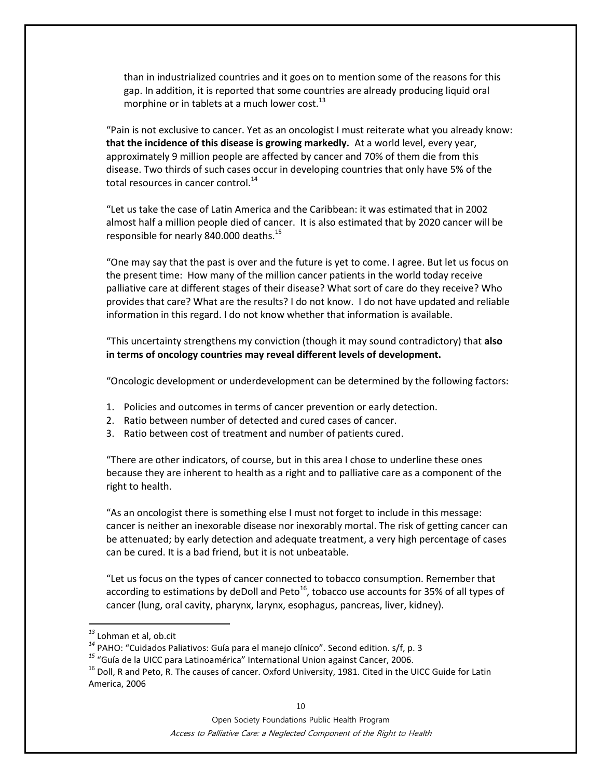than in industrialized countries and it goes on to mention some of the reasons for this gap. In addition, it is reported that some countries are already producing liquid oral morphine or in tablets at a much lower cost. $^{13}$ 

"Pain is not exclusive to cancer. Yet as an oncologist I must reiterate what you already know: **that the incidence of this disease is growing markedly.** At a world level, every year, approximately 9 million people are affected by cancer and 70% of them die from this disease. Two thirds of such cases occur in developing countries that only have 5% of the total resources in cancer control.<sup>14</sup>

"Let us take the case of Latin America and the Caribbean: it was estimated that in 2002 almost half a million people died of cancer. It is also estimated that by 2020 cancer will be responsible for nearly 840.000 deaths.<sup>15</sup>

"One may say that the past is over and the future is yet to come. I agree. But let us focus on the present time: How many of the million cancer patients in the world today receive palliative care at different stages of their disease? What sort of care do they receive? Who provides that care? What are the results? I do not know. I do not have updated and reliable information in this regard. I do not know whether that information is available.

"This uncertainty strengthens my conviction (though it may sound contradictory) that **also in terms of oncology countries may reveal different levels of development.**

"Oncologic development or underdevelopment can be determined by the following factors:

- 1. Policies and outcomes in terms of cancer prevention or early detection.
- 2. Ratio between number of detected and cured cases of cancer.
- 3. Ratio between cost of treatment and number of patients cured.

"There are other indicators, of course, but in this area I chose to underline these ones because they are inherent to health as a right and to palliative care as a component of the right to health.

"As an oncologist there is something else I must not forget to include in this message: cancer is neither an inexorable disease nor inexorably mortal. The risk of getting cancer can be attenuated; by early detection and adequate treatment, a very high percentage of cases can be cured. It is a bad friend, but it is not unbeatable.

"Let us focus on the types of cancer connected to tobacco consumption. Remember that according to estimations by deDoll and Peto<sup>16</sup>, tobacco use accounts for 35% of all types of cancer (lung, oral cavity, pharynx, larynx, esophagus, pancreas, liver, kidney).

 $\overline{a}$ 

Open Society Foundations Public Health Program Access to Palliative Care: a Neglected Component of the Right to Health

*<sup>13</sup>* Lohman et al, ob.cit

<sup>&</sup>lt;sup>14</sup> PAHO: "Cuidados Paliativos: Guía para el manejo clínico". Second edition. s/f, p. 3

*<sup>15</sup>* "Guía de la UICC para Latinoamérica" International Union against Cancer, 2006.

<sup>&</sup>lt;sup>16</sup> Doll, R and Peto, R. The causes of cancer. Oxford University, 1981. Cited in the UICC Guide for Latin America, 2006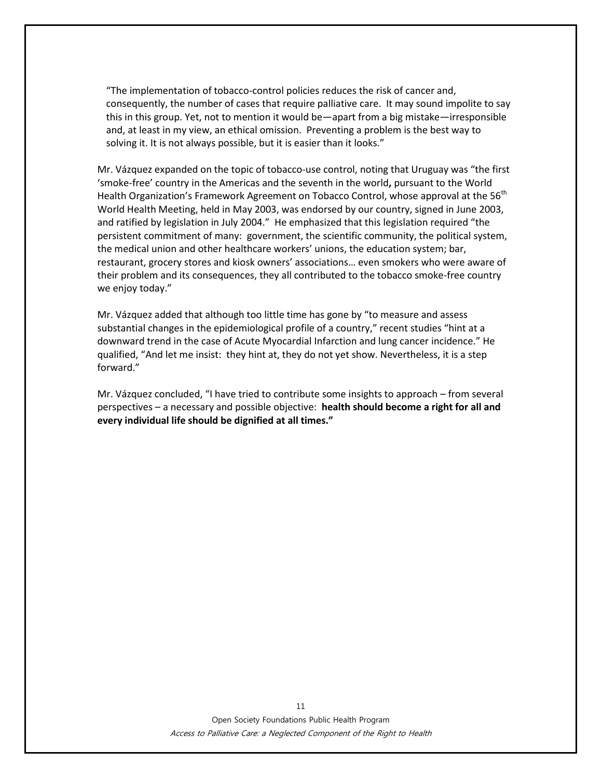"The implementation of tobacco-control policies reduces the risk of cancer and, consequently, the number of cases that require palliative care. It may sound impolite to say this in this group. Yet, not to mention it would be—apart from a big mistake—irresponsible and, at least in my view, an ethical omission. Preventing a problem is the best way to solving it. It is not always possible, but it is easier than it looks."

Mr. Vázquez expanded on the topic of tobacco-use control, noting that Uruguay was "the first 'smoke-free' country in the Americas and the seventh in the world**,** pursuant to the World Health Organization's Framework Agreement on Tobacco Control, whose approval at the 56<sup>th</sup> World Health Meeting, held in May 2003, was endorsed by our country, signed in June 2003, and ratified by legislation in July 2004." He emphasized that this legislation required "the persistent commitment of many: government, the scientific community, the political system, the medical union and other healthcare workers' unions, the education system; bar, restaurant, grocery stores and kiosk owners' associations… even smokers who were aware of their problem and its consequences, they all contributed to the tobacco smoke-free country we enjoy today."

Mr. Vázquez added that although too little time has gone by "to measure and assess substantial changes in the epidemiological profile of a country," recent studies "hint at a downward trend in the case of Acute Myocardial Infarction and lung cancer incidence." He qualified, "And let me insist: they hint at, they do not yet show. Nevertheless, it is a step forward."

Mr. Vázquez concluded, "I have tried to contribute some insights to approach – from several perspectives – a necessary and possible objective: **health should become a right for all and every individual life should be dignified at all times."**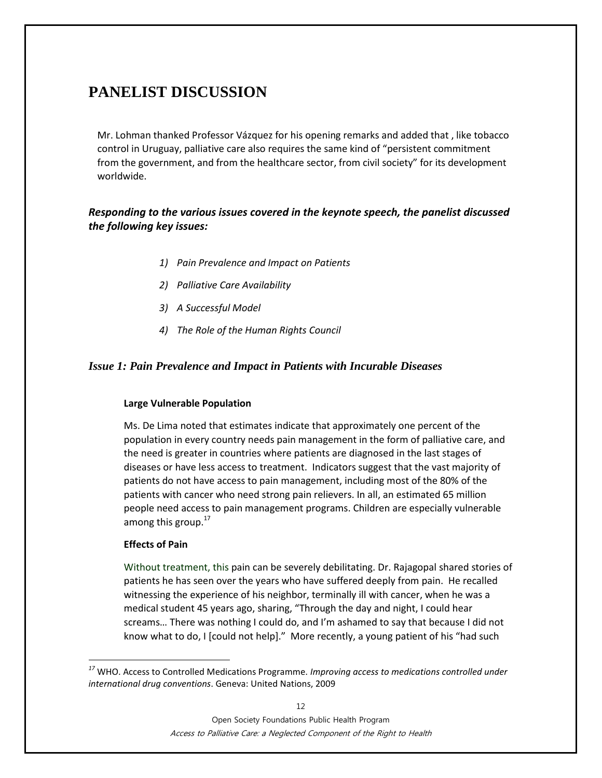# **PANELIST DISCUSSION**

Mr. Lohman thanked Professor Vázquez for his opening remarks and added that , like tobacco control in Uruguay, palliative care also requires the same kind of "persistent commitment from the government, and from the healthcare sector, from civil society" for its development worldwide.

### *Responding to the various issues covered in the keynote speech, the panelist discussed the following key issues:*

- *1) Pain Prevalence and Impact on Patients*
- *2) Palliative Care Availability*
- *3) A Successful Model*
- *4) The Role of the Human Rights Council*

### *Issue 1: Pain Prevalence and Impact in Patients with Incurable Diseases*

#### **Large Vulnerable Population**

Ms. De Lima noted that estimates indicate that approximately one percent of the population in every country needs pain management in the form of palliative care, and the need is greater in countries where patients are diagnosed in the last stages of diseases or have less access to treatment. Indicators suggest that the vast majority of patients do not have access to pain management, including most of the 80% of the patients with cancer who need strong pain relievers. In all, an estimated 65 million people need access to pain management programs. Children are especially vulnerable among this group. $17$ 

#### **Effects of Pain**

 $\overline{a}$ 

Without treatment, this pain can be severely debilitating. Dr. Rajagopal shared stories of patients he has seen over the years who have suffered deeply from pain. He recalled witnessing the experience of his neighbor, terminally ill with cancer, when he was a medical student 45 years ago, sharing, "Through the day and night, I could hear screams… There was nothing I could do, and I'm ashamed to say that because I did not know what to do, I [could not help]." More recently, a young patient of his "had such

*<sup>17</sup>* WHO. Access to Controlled Medications Programme. *Improving access to medications controlled under international drug conventions*. Geneva: United Nations, 2009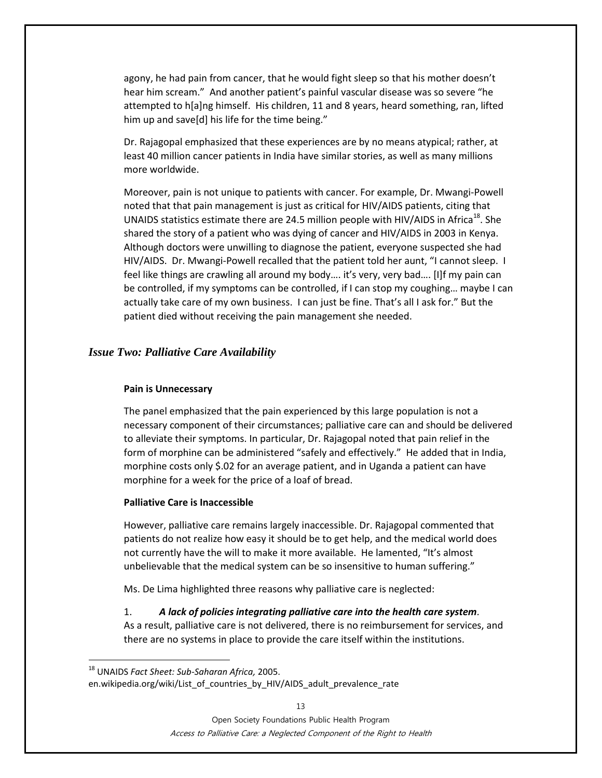agony, he had pain from cancer, that he would fight sleep so that his mother doesn't hear him scream." And another patient's painful vascular disease was so severe "he attempted to h[a]ng himself. His children, 11 and 8 years, heard something, ran, lifted him up and save[d] his life for the time being."

Dr. Rajagopal emphasized that these experiences are by no means atypical; rather, at least 40 million cancer patients in India have similar stories, as well as many millions more worldwide.

Moreover, pain is not unique to patients with cancer. For example, Dr. Mwangi-Powell noted that that pain management is just as critical for HIV/AIDS patients, citing that UNAIDS statistics estimate there are 24.5 million people with HIV/AIDS in Africa<sup>18</sup>. She shared the story of a patient who was dying of cancer and HIV/AIDS in 2003 in Kenya. Although doctors were unwilling to diagnose the patient, everyone suspected she had HIV/AIDS. Dr. Mwangi-Powell recalled that the patient told her aunt, "I cannot sleep. I feel like things are crawling all around my body…. it's very, very bad…. [I]f my pain can be controlled, if my symptoms can be controlled, if I can stop my coughing… maybe I can actually take care of my own business. I can just be fine. That's all I ask for." But the patient died without receiving the pain management she needed.

#### *Issue Two: Palliative Care Availability*

#### **Pain is Unnecessary**

The panel emphasized that the pain experienced by this large population is not a necessary component of their circumstances; palliative care can and should be delivered to alleviate their symptoms. In particular, Dr. Rajagopal noted that pain relief in the form of morphine can be administered "safely and effectively." He added that in India, morphine costs only \$.02 for an average patient, and in Uganda a patient can have morphine for a week for the price of a loaf of bread.

#### **Palliative Care is Inaccessible**

 $\overline{a}$ 

However, palliative care remains largely inaccessible. Dr. Rajagopal commented that patients do not realize how easy it should be to get help, and the medical world does not currently have the will to make it more available. He lamented, "It's almost unbelievable that the medical system can be so insensitive to human suffering."

Ms. De Lima highlighted three reasons why palliative care is neglected:

1. *A lack of policies integrating palliative care into the health care system.*

As a result, palliative care is not delivered, there is no reimbursement for services, and there are no systems in place to provide the care itself within the institutions.

<sup>18</sup> UNAIDS *Fact Sheet: Sub-Saharan Africa,* 2005. en.wikipedia.org/wiki/List of countries by HIV/AIDS adult prevalence rate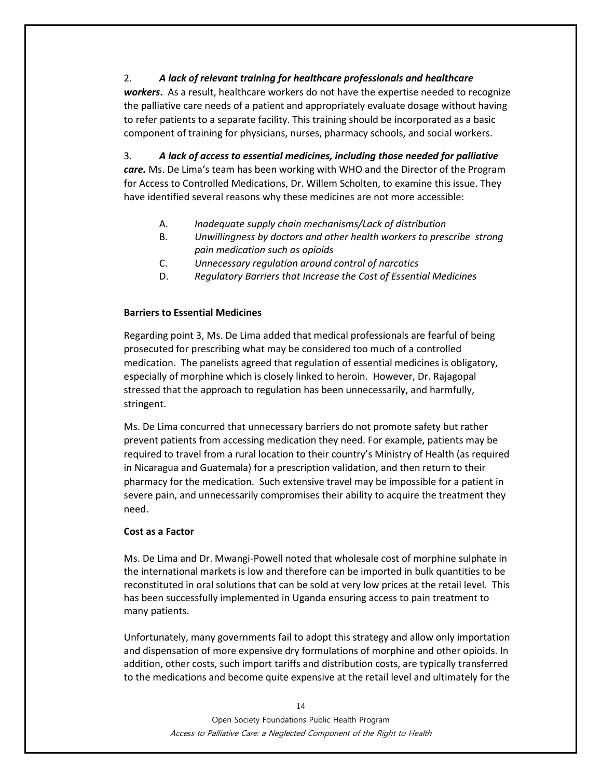### 2. *A lack of relevant training for healthcare professionals and healthcare*

*workers***.** As a result, healthcare workers do not have the expertise needed to recognize the palliative care needs of a patient and appropriately evaluate dosage without having to refer patients to a separate facility. This training should be incorporated as a basic component of training for physicians, nurses, pharmacy schools, and social workers.

3. *A lack of access to essential medicines, including those needed for palliative care.* Ms. De Lima's team has been working with WHO and the Director of the Program for Access to Controlled Medications, Dr. Willem Scholten, to examine this issue. They have identified several reasons why these medicines are not more accessible:

- A. *Inadequate supply chain mechanisms/Lack of distribution*
- B. *Unwillingness by doctors and other health workers to prescribe strong pain medication such as opioids*
- C. *Unnecessary regulation around control of narcotics*
- D. *Regulatory Barriers that Increase the Cost of Essential Medicines*

### **Barriers to Essential Medicines**

Regarding point 3, Ms. De Lima added that medical professionals are fearful of being prosecuted for prescribing what may be considered too much of a controlled medication. The panelists agreed that regulation of essential medicines is obligatory, especially of morphine which is closely linked to heroin. However, Dr. Rajagopal stressed that the approach to regulation has been unnecessarily, and harmfully, stringent.

Ms. De Lima concurred that unnecessary barriers do not promote safety but rather prevent patients from accessing medication they need. For example, patients may be required to travel from a rural location to their country's Ministry of Health (as required in Nicaragua and Guatemala) for a prescription validation, and then return to their pharmacy for the medication. Such extensive travel may be impossible for a patient in severe pain, and unnecessarily compromises their ability to acquire the treatment they need.

#### **Cost as a Factor**

Ms. De Lima and Dr. Mwangi-Powell noted that wholesale cost of morphine sulphate in the international markets is low and therefore can be imported in bulk quantities to be reconstituted in oral solutions that can be sold at very low prices at the retail level. This has been successfully implemented in Uganda ensuring access to pain treatment to many patients.

Unfortunately, many governments fail to adopt this strategy and allow only importation and dispensation of more expensive dry formulations of morphine and other opioids. In addition, other costs, such import tariffs and distribution costs, are typically transferred to the medications and become quite expensive at the retail level and ultimately for the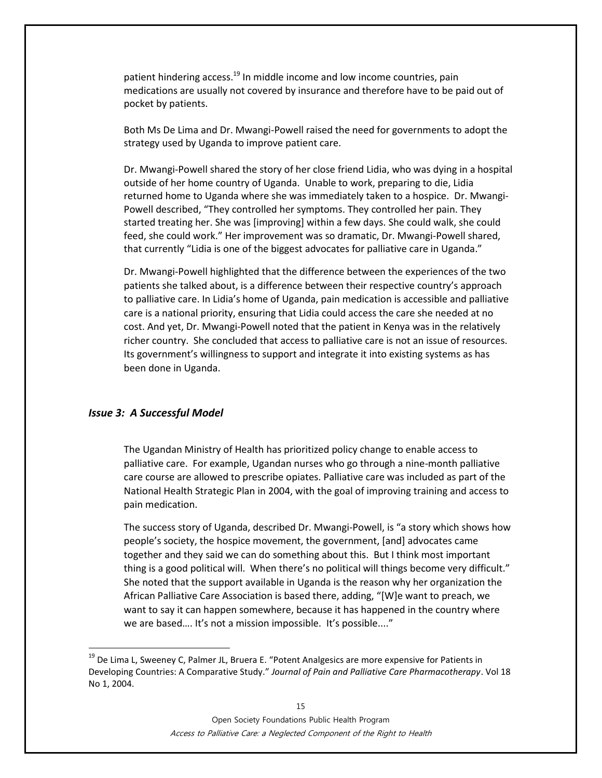patient hindering access.<sup>19</sup> In middle income and low income countries, pain medications are usually not covered by insurance and therefore have to be paid out of pocket by patients.

Both Ms De Lima and Dr. Mwangi-Powell raised the need for governments to adopt the strategy used by Uganda to improve patient care.

Dr. Mwangi-Powell shared the story of her close friend Lidia, who was dying in a hospital outside of her home country of Uganda. Unable to work, preparing to die, Lidia returned home to Uganda where she was immediately taken to a hospice. Dr. Mwangi-Powell described, "They controlled her symptoms. They controlled her pain. They started treating her. She was [improving] within a few days. She could walk, she could feed, she could work." Her improvement was so dramatic, Dr. Mwangi-Powell shared, that currently "Lidia is one of the biggest advocates for palliative care in Uganda."

Dr. Mwangi-Powell highlighted that the difference between the experiences of the two patients she talked about, is a difference between their respective country's approach to palliative care. In Lidia's home of Uganda, pain medication is accessible and palliative care is a national priority, ensuring that Lidia could access the care she needed at no cost. And yet, Dr. Mwangi-Powell noted that the patient in Kenya was in the relatively richer country. She concluded that access to palliative care is not an issue of resources. Its government's willingness to support and integrate it into existing systems as has been done in Uganda.

#### *Issue 3: A Successful Model*

 $\overline{a}$ 

The Ugandan Ministry of Health has prioritized policy change to enable access to palliative care. For example, Ugandan nurses who go through a nine-month palliative care course are allowed to prescribe opiates. Palliative care was included as part of the National Health Strategic Plan in 2004, with the goal of improving training and access to pain medication.

The success story of Uganda, described Dr. Mwangi-Powell, is "a story which shows how people's society, the hospice movement, the government, [and] advocates came together and they said we can do something about this. But I think most important thing is a good political will. When there's no political will things become very difficult." She noted that the support available in Uganda is the reason why her organization the African Palliative Care Association is based there, adding, "[W]e want to preach, we want to say it can happen somewhere, because it has happened in the country where we are based.... It's not a mission impossible. It's possible...."

<sup>&</sup>lt;sup>19</sup> De Lima L, Sweeney C, Palmer JL, Bruera E. "Potent Analgesics are more expensive for Patients in Developing Countries: A Comparative Study." *Journal of Pain and Palliative Care Pharmacotherapy*. Vol 18 No 1, 2004.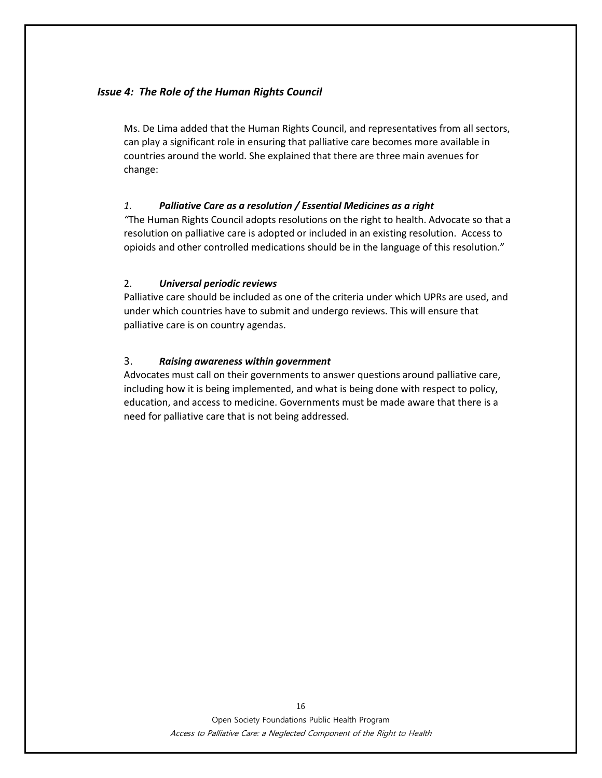### *Issue 4: The Role of the Human Rights Council*

Ms. De Lima added that the Human Rights Council, and representatives from all sectors, can play a significant role in ensuring that palliative care becomes more available in countries around the world. She explained that there are three main avenues for change:

### *1. Palliative Care as a resolution / Essential Medicines as a right*

*"*The Human Rights Council adopts resolutions on the right to health. Advocate so that a resolution on palliative care is adopted or included in an existing resolution. Access to opioids and other controlled medications should be in the language of this resolution."

### 2. *Universal periodic reviews*

Palliative care should be included as one of the criteria under which UPRs are used, and under which countries have to submit and undergo reviews. This will ensure that palliative care is on country agendas.

### 3. *Raising awareness within government*

Advocates must call on their governments to answer questions around palliative care, including how it is being implemented, and what is being done with respect to policy, education, and access to medicine. Governments must be made aware that there is a need for palliative care that is not being addressed.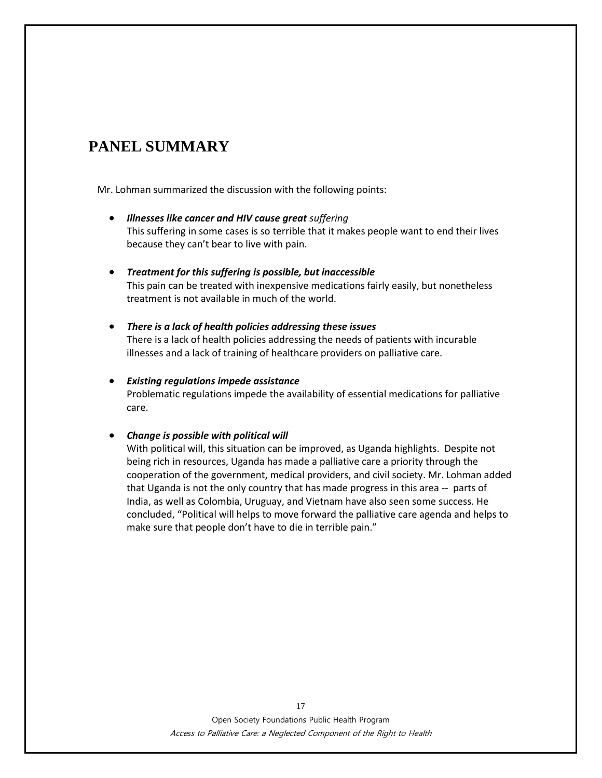# **PANEL SUMMARY**

Mr. Lohman summarized the discussion with the following points:

- *Illnesses like cancer and HIV cause great suffering* This suffering in some cases is so terrible that it makes people want to end their lives because they can't bear to live with pain.
- *Treatment for this suffering is possible, but inaccessible* This pain can be treated with inexpensive medications fairly easily, but nonetheless treatment is not available in much of the world.
- *There is a lack of health policies addressing these issues* There is a lack of health policies addressing the needs of patients with incurable illnesses and a lack of training of healthcare providers on palliative care.

### *Existing regulations impede assistance* Problematic regulations impede the availability of essential medications for palliative care.

### *Change is possible with political will*

With political will, this situation can be improved, as Uganda highlights. Despite not being rich in resources, Uganda has made a palliative care a priority through the cooperation of the government, medical providers, and civil society. Mr. Lohman added that Uganda is not the only country that has made progress in this area -- parts of India, as well as Colombia, Uruguay, and Vietnam have also seen some success. He concluded, "Political will helps to move forward the palliative care agenda and helps to make sure that people don't have to die in terrible pain."

> Open Society Foundations Public Health Program Access to Palliative Care: a Neglected Component of the Right to Health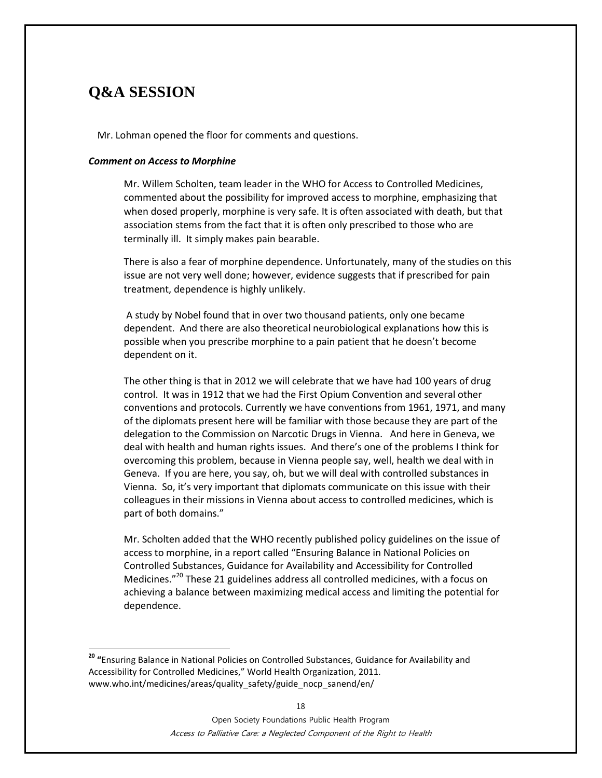# **Q&A SESSION**

 $\overline{a}$ 

Mr. Lohman opened the floor for comments and questions.

#### *Comment on Access to Morphine*

Mr. Willem Scholten, team leader in the WHO for Access to Controlled Medicines, commented about the possibility for improved access to morphine, emphasizing that when dosed properly, morphine is very safe. It is often associated with death, but that association stems from the fact that it is often only prescribed to those who are terminally ill. It simply makes pain bearable.

There is also a fear of morphine dependence. Unfortunately, many of the studies on this issue are not very well done; however, evidence suggests that if prescribed for pain treatment, dependence is highly unlikely.

A study by Nobel found that in over two thousand patients, only one became dependent. And there are also theoretical neurobiological explanations how this is possible when you prescribe morphine to a pain patient that he doesn't become dependent on it.

The other thing is that in 2012 we will celebrate that we have had 100 years of drug control. It was in 1912 that we had the First Opium Convention and several other conventions and protocols. Currently we have conventions from 1961, 1971, and many of the diplomats present here will be familiar with those because they are part of the delegation to the Commission on Narcotic Drugs in Vienna. And here in Geneva, we deal with health and human rights issues. And there's one of the problems I think for overcoming this problem, because in Vienna people say, well, health we deal with in Geneva. If you are here, you say, oh, but we will deal with controlled substances in Vienna. So, it's very important that diplomats communicate on this issue with their colleagues in their missions in Vienna about access to controlled medicines, which is part of both domains."

Mr. Scholten added that the WHO recently published policy guidelines on the issue of access to morphine, in a report called "Ensuring Balance in National Policies on Controlled Substances, Guidance for Availability and Accessibility for Controlled Medicines."<sup>20</sup> These 21 guidelines address all controlled medicines, with a focus on achieving a balance between maximizing medical access and limiting the potential for dependence.

Open Society Foundations Public Health Program Access to Palliative Care: a Neglected Component of the Right to Health

**<sup>20</sup> "**Ensuring Balance in National Policies on Controlled Substances, Guidance for Availability and Accessibility for Controlled Medicines," World Health Organization, 2011. [www.who.int/medicines/areas/quality\\_safety/guide\\_nocp\\_sanend/en/](http://www.who.int/medicines/areas/quality_safety/guide_nocp_sanend/en/)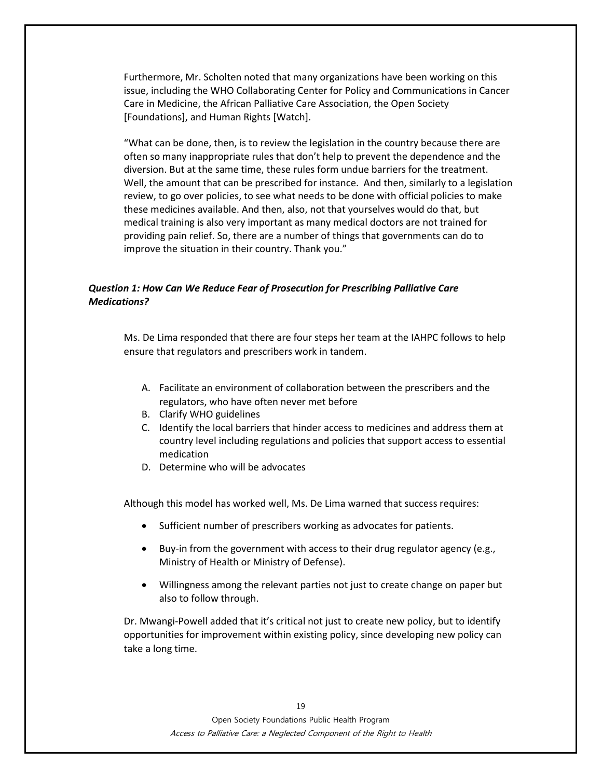Furthermore, Mr. Scholten noted that many organizations have been working on this issue, including the WHO Collaborating Center for Policy and Communications in Cancer Care in Medicine, the African Palliative Care Association, the Open Society [Foundations], and Human Rights [Watch].

"What can be done, then, is to review the legislation in the country because there are often so many inappropriate rules that don't help to prevent the dependence and the diversion. But at the same time, these rules form undue barriers for the treatment. Well, the amount that can be prescribed for instance. And then, similarly to a legislation review, to go over policies, to see what needs to be done with official policies to make these medicines available. And then, also, not that yourselves would do that, but medical training is also very important as many medical doctors are not trained for providing pain relief. So, there are a number of things that governments can do to improve the situation in their country. Thank you."

### *Question 1: How Can We Reduce Fear of Prosecution for Prescribing Palliative Care Medications?*

Ms. De Lima responded that there are four steps her team at the IAHPC follows to help ensure that regulators and prescribers work in tandem.

- A. Facilitate an environment of collaboration between the prescribers and the regulators, who have often never met before
- B. Clarify WHO guidelines
- C. Identify the local barriers that hinder access to medicines and address them at country level including regulations and policies that support access to essential medication
- D. Determine who will be advocates

Although this model has worked well, Ms. De Lima warned that success requires:

- Sufficient number of prescribers working as advocates for patients.
- Buy-in from the government with access to their drug regulator agency (e.g., Ministry of Health or Ministry of Defense).
- Willingness among the relevant parties not just to create change on paper but also to follow through.

Dr. Mwangi-Powell added that it's critical not just to create new policy, but to identify opportunities for improvement within existing policy, since developing new policy can take a long time.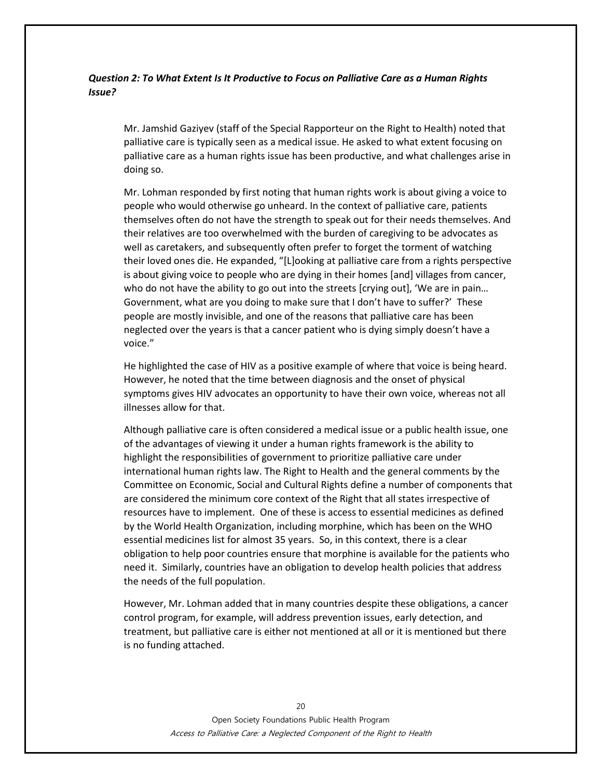### *Question 2: To What Extent Is It Productive to Focus on Palliative Care as a Human Rights Issue?*

Mr. Jamshid Gaziyev (staff of the Special Rapporteur on the Right to Health) noted that palliative care is typically seen as a medical issue. He asked to what extent focusing on palliative care as a human rights issue has been productive, and what challenges arise in doing so.

Mr. Lohman responded by first noting that human rights work is about giving a voice to people who would otherwise go unheard. In the context of palliative care, patients themselves often do not have the strength to speak out for their needs themselves. And their relatives are too overwhelmed with the burden of caregiving to be advocates as well as caretakers, and subsequently often prefer to forget the torment of watching their loved ones die. He expanded, "[L]ooking at palliative care from a rights perspective is about giving voice to people who are dying in their homes [and] villages from cancer, who do not have the ability to go out into the streets [crying out], 'We are in pain… Government, what are you doing to make sure that I don't have to suffer?' These people are mostly invisible, and one of the reasons that palliative care has been neglected over the years is that a cancer patient who is dying simply doesn't have a voice."

He highlighted the case of HIV as a positive example of where that voice is being heard. However, he noted that the time between diagnosis and the onset of physical symptoms gives HIV advocates an opportunity to have their own voice, whereas not all illnesses allow for that.

Although palliative care is often considered a medical issue or a public health issue, one of the advantages of viewing it under a human rights framework is the ability to highlight the responsibilities of government to prioritize palliative care under international human rights law. The Right to Health and the general comments by the Committee on Economic, Social and Cultural Rights define a number of components that are considered the minimum core context of the Right that all states irrespective of resources have to implement. One of these is access to essential medicines as defined by the World Health Organization, including morphine, which has been on the WHO essential medicines list for almost 35 years. So, in this context, there is a clear obligation to help poor countries ensure that morphine is available for the patients who need it. Similarly, countries have an obligation to develop health policies that address the needs of the full population.

However, Mr. Lohman added that in many countries despite these obligations, a cancer control program, for example, will address prevention issues, early detection, and treatment, but palliative care is either not mentioned at all or it is mentioned but there is no funding attached.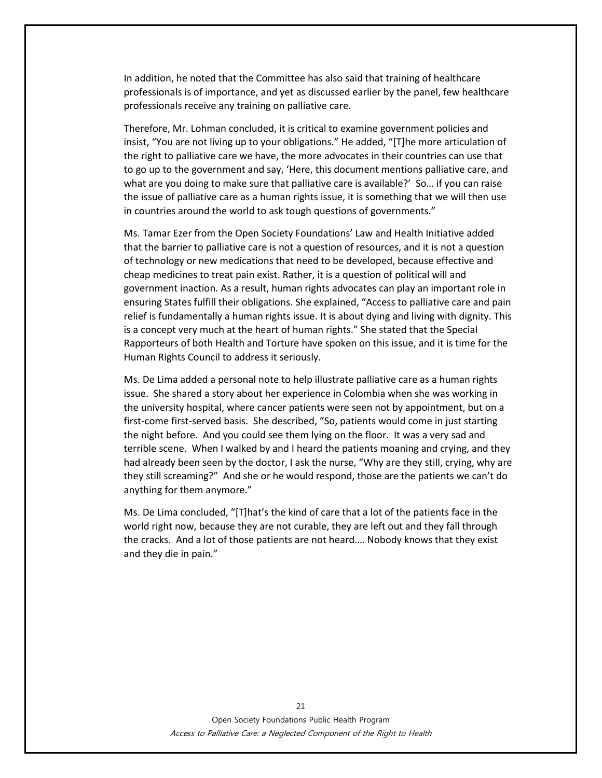In addition, he noted that the Committee has also said that training of healthcare professionals is of importance, and yet as discussed earlier by the panel, few healthcare professionals receive any training on palliative care.

Therefore, Mr. Lohman concluded, it is critical to examine government policies and insist, "You are not living up to your obligations." He added, "[T]he more articulation of the right to palliative care we have, the more advocates in their countries can use that to go up to the government and say, 'Here, this document mentions palliative care, and what are you doing to make sure that palliative care is available?' So… if you can raise the issue of palliative care as a human rights issue, it is something that we will then use in countries around the world to ask tough questions of governments."

Ms. Tamar Ezer from the Open Society Foundations' Law and Health Initiative added that the barrier to palliative care is not a question of resources, and it is not a question of technology or new medications that need to be developed, because effective and cheap medicines to treat pain exist. Rather, it is a question of political will and government inaction. As a result, human rights advocates can play an important role in ensuring States fulfill their obligations. She explained, "Access to palliative care and pain relief is fundamentally a human rights issue. It is about dying and living with dignity. This is a concept very much at the heart of human rights." She stated that the Special Rapporteurs of both Health and Torture have spoken on this issue, and it is time for the Human Rights Council to address it seriously.

Ms. De Lima added a personal note to help illustrate palliative care as a human rights issue. She shared a story about her experience in Colombia when she was working in the university hospital, where cancer patients were seen not by appointment, but on a first-come first-served basis. She described, "So, patients would come in just starting the night before. And you could see them lying on the floor. It was a very sad and terrible scene. When I walked by and I heard the patients moaning and crying, and they had already been seen by the doctor, I ask the nurse, "Why are they still, crying, why are they still screaming?" And she or he would respond, those are the patients we can't do anything for them anymore."

Ms. De Lima concluded, "[T]hat's the kind of care that a lot of the patients face in the world right now, because they are not curable, they are left out and they fall through the cracks. And a lot of those patients are not heard.… Nobody knows that they exist and they die in pain."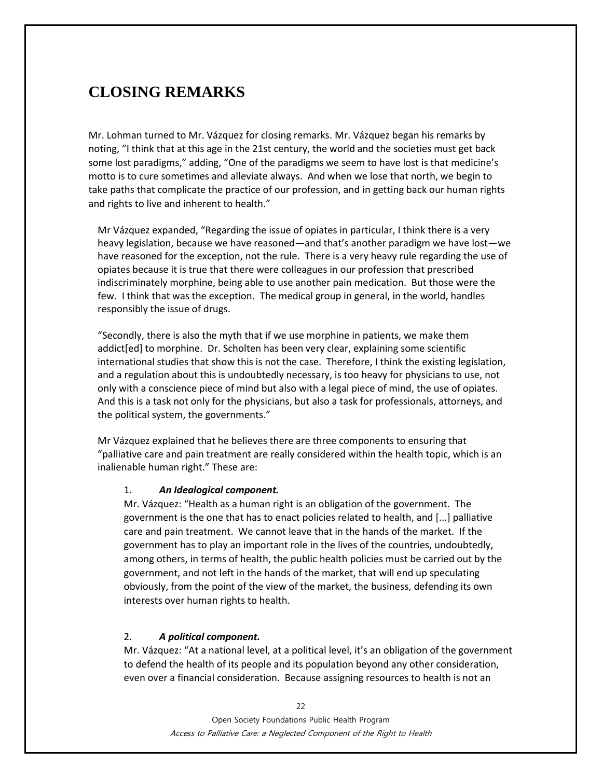# **CLOSING REMARKS**

Mr. Lohman turned to Mr. Vázquez for closing remarks. Mr. Vázquez began his remarks by noting, "I think that at this age in the 21st century, the world and the societies must get back some lost paradigms," adding, "One of the paradigms we seem to have lost is that medicine's motto is to cure sometimes and alleviate always. And when we lose that north, we begin to take paths that complicate the practice of our profession, and in getting back our human rights and rights to live and inherent to health."

Mr Vázquez expanded, "Regarding the issue of opiates in particular, I think there is a very heavy legislation, because we have reasoned—and that's another paradigm we have lost—we have reasoned for the exception, not the rule. There is a very heavy rule regarding the use of opiates because it is true that there were colleagues in our profession that prescribed indiscriminately morphine, being able to use another pain medication. But those were the few. I think that was the exception. The medical group in general, in the world, handles responsibly the issue of drugs.

"Secondly, there is also the myth that if we use morphine in patients, we make them addict[ed] to morphine. Dr. Scholten has been very clear, explaining some scientific international studies that show this is not the case. Therefore, I think the existing legislation, and a regulation about this is undoubtedly necessary, is too heavy for physicians to use, not only with a conscience piece of mind but also with a legal piece of mind, the use of opiates. And this is a task not only for the physicians, but also a task for professionals, attorneys, and the political system, the governments."

Mr Vázquez explained that he believes there are three components to ensuring that "palliative care and pain treatment are really considered within the health topic, which is an inalienable human right." These are:

#### 1. *An Idealogical component.*

Mr. Vázquez: "Health as a human right is an obligation of the government. The government is the one that has to enact policies related to health, and [...] palliative care and pain treatment. We cannot leave that in the hands of the market. If the government has to play an important role in the lives of the countries, undoubtedly, among others, in terms of health, the public health policies must be carried out by the government, and not left in the hands of the market, that will end up speculating obviously, from the point of the view of the market, the business, defending its own interests over human rights to health.

### 2. *A political component.*

Mr. Vázquez: "At a national level, at a political level, it's an obligation of the government to defend the health of its people and its population beyond any other consideration, even over a financial consideration. Because assigning resources to health is not an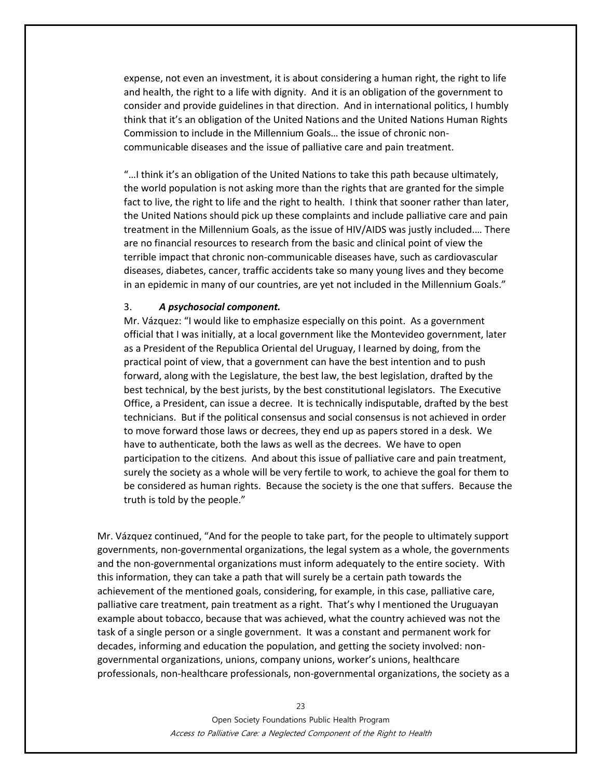expense, not even an investment, it is about considering a human right, the right to life and health, the right to a life with dignity. And it is an obligation of the government to consider and provide guidelines in that direction. And in international politics, I humbly think that it's an obligation of the United Nations and the United Nations Human Rights Commission to include in the Millennium Goals… the issue of chronic noncommunicable diseases and the issue of palliative care and pain treatment.

"…I think it's an obligation of the United Nations to take this path because ultimately, the world population is not asking more than the rights that are granted for the simple fact to live, the right to life and the right to health. I think that sooner rather than later, the United Nations should pick up these complaints and include palliative care and pain treatment in the Millennium Goals, as the issue of HIV/AIDS was justly included.… There are no financial resources to research from the basic and clinical point of view the terrible impact that chronic non-communicable diseases have, such as cardiovascular diseases, diabetes, cancer, traffic accidents take so many young lives and they become in an epidemic in many of our countries, are yet not included in the Millennium Goals."

#### 3. *A psychosocial component.*

Mr. Vázquez: "I would like to emphasize especially on this point. As a government official that I was initially, at a local government like the Montevideo government, later as a President of the Republica Oriental del Uruguay, I learned by doing, from the practical point of view, that a government can have the best intention and to push forward, along with the Legislature, the best law, the best legislation, drafted by the best technical, by the best jurists, by the best constitutional legislators. The Executive Office, a President, can issue a decree. It is technically indisputable, drafted by the best technicians. But if the political consensus and social consensus is not achieved in order to move forward those laws or decrees, they end up as papers stored in a desk. We have to authenticate, both the laws as well as the decrees. We have to open participation to the citizens. And about this issue of palliative care and pain treatment, surely the society as a whole will be very fertile to work, to achieve the goal for them to be considered as human rights. Because the society is the one that suffers. Because the truth is told by the people."

Mr. Vázquez continued, "And for the people to take part, for the people to ultimately support governments, non-governmental organizations, the legal system as a whole, the governments and the non-governmental organizations must inform adequately to the entire society. With this information, they can take a path that will surely be a certain path towards the achievement of the mentioned goals, considering, for example, in this case, palliative care, palliative care treatment, pain treatment as a right. That's why I mentioned the Uruguayan example about tobacco, because that was achieved, what the country achieved was not the task of a single person or a single government. It was a constant and permanent work for decades, informing and education the population, and getting the society involved: nongovernmental organizations, unions, company unions, worker's unions, healthcare professionals, non-healthcare professionals, non-governmental organizations, the society as a